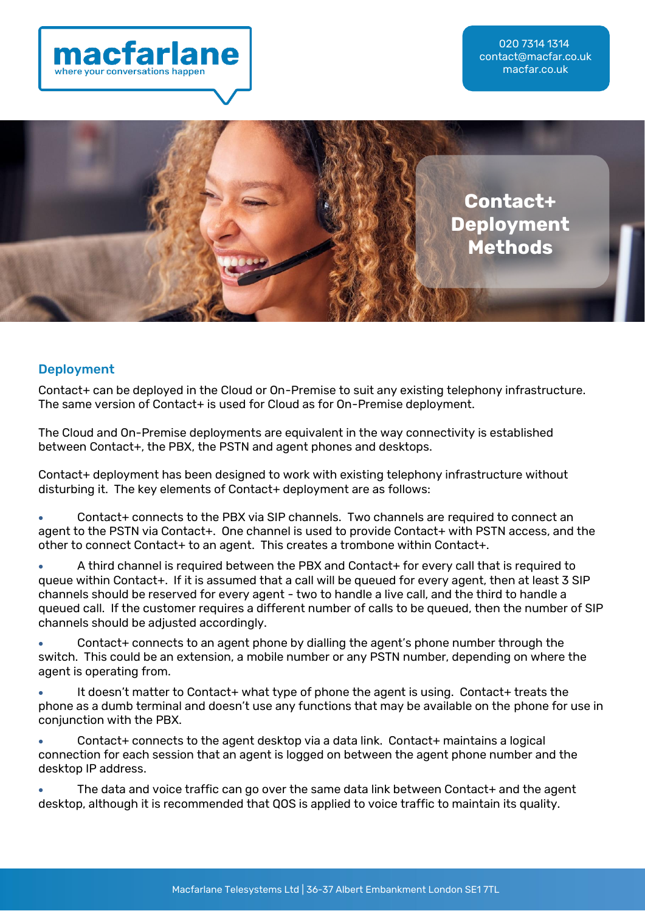



#### Deployment

Contact+ can be deployed in the Cloud or On-Premise to suit any existing telephony infrastructure. The same version of Contact+ is used for Cloud as for On-Premise deployment.

The Cloud and On-Premise deployments are equivalent in the way connectivity is established between Contact+, the PBX, the PSTN and agent phones and desktops.

Contact+ deployment has been designed to work with existing telephony infrastructure without disturbing it. The key elements of Contact+ deployment are as follows:

• Contact+ connects to the PBX via SIP channels. Two channels are required to connect an agent to the PSTN via Contact+. One channel is used to provide Contact+ with PSTN access, and the other to connect Contact+ to an agent. This creates a trombone within Contact+.

• A third channel is required between the PBX and Contact+ for every call that is required to queue within Contact+. If it is assumed that a call will be queued for every agent, then at least 3 SIP channels should be reserved for every agent - two to handle a live call, and the third to handle a queued call. If the customer requires a different number of calls to be queued, then the number of SIP channels should be adjusted accordingly.

• Contact+ connects to an agent phone by dialling the agent's phone number through the switch. This could be an extension, a mobile number or any PSTN number, depending on where the agent is operating from.

• It doesn't matter to Contact+ what type of phone the agent is using. Contact+ treats the phone as a dumb terminal and doesn't use any functions that may be available on the phone for use in conjunction with the PBX.

• Contact+ connects to the agent desktop via a data link. Contact+ maintains a logical connection for each session that an agent is logged on between the agent phone number and the desktop IP address.

The data and voice traffic can go over the same data link between Contact+ and the agent desktop, although it is recommended that QOS is applied to voice traffic to maintain its quality.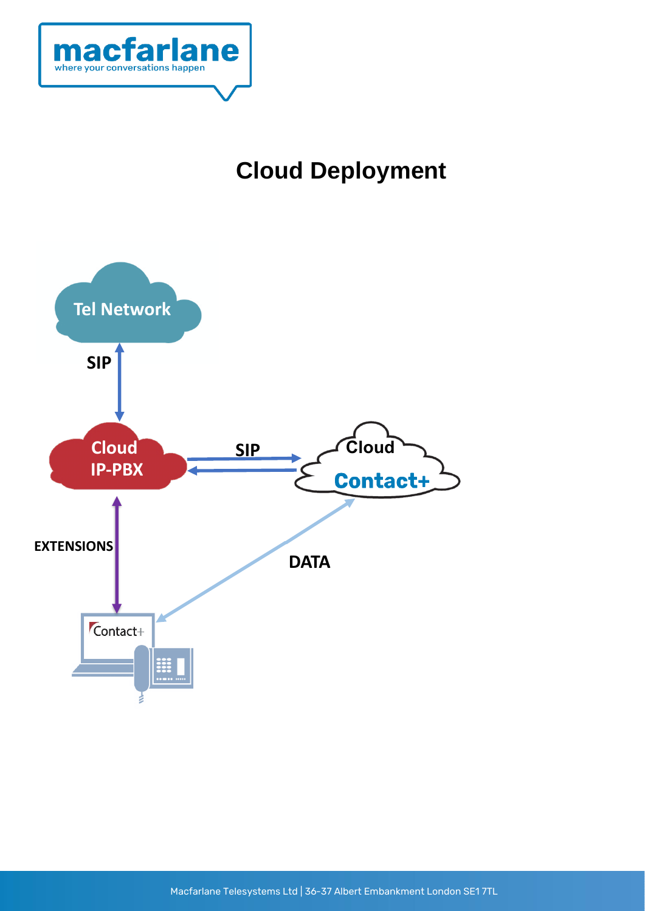

# **Cloud Deployment**

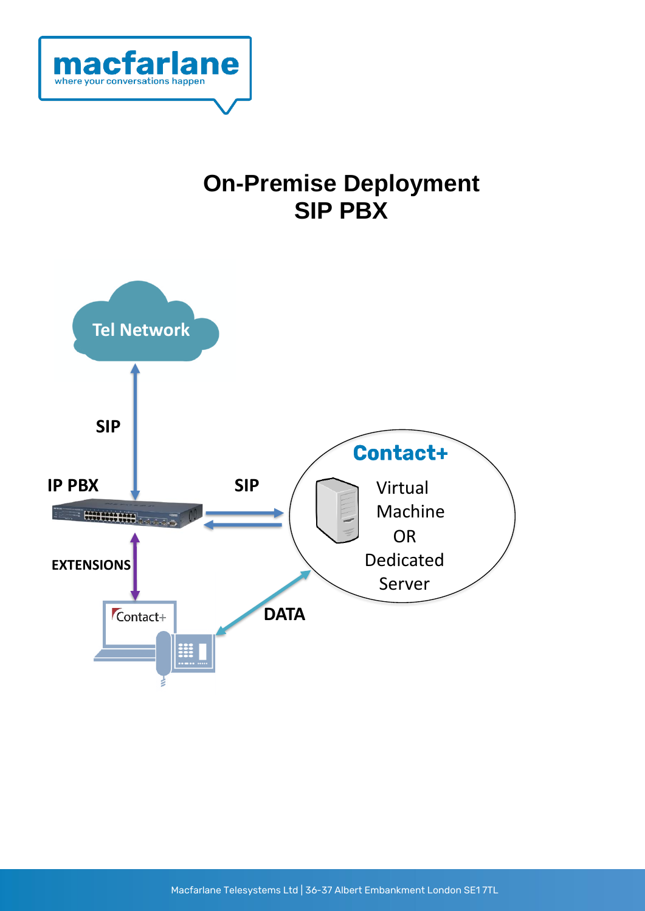

### **On-Premise Deployment SIP PBX**

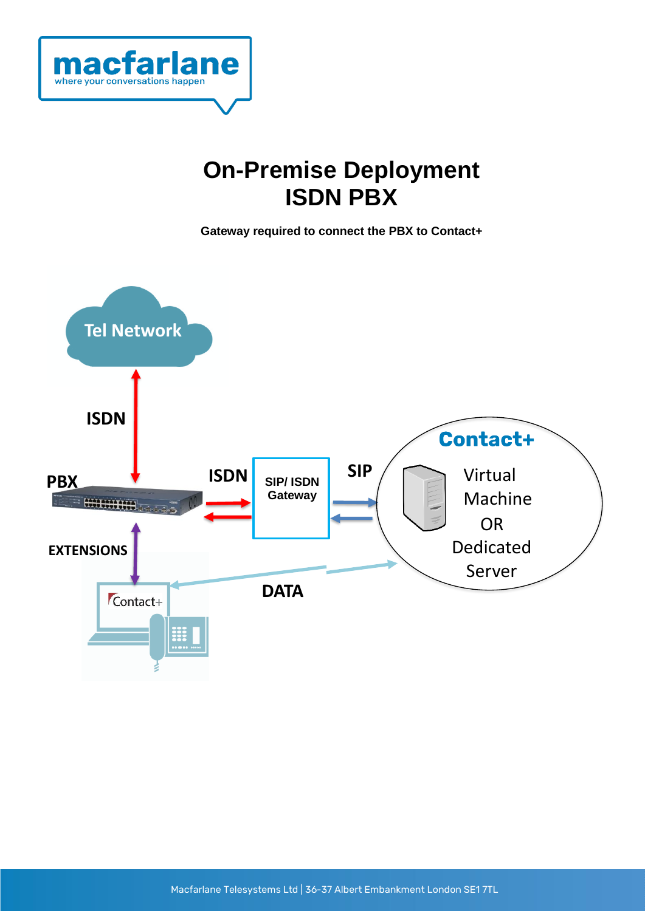

## **On-Premise Deployment ISDN PBX**

**Gateway required to connect the PBX to Contact+**